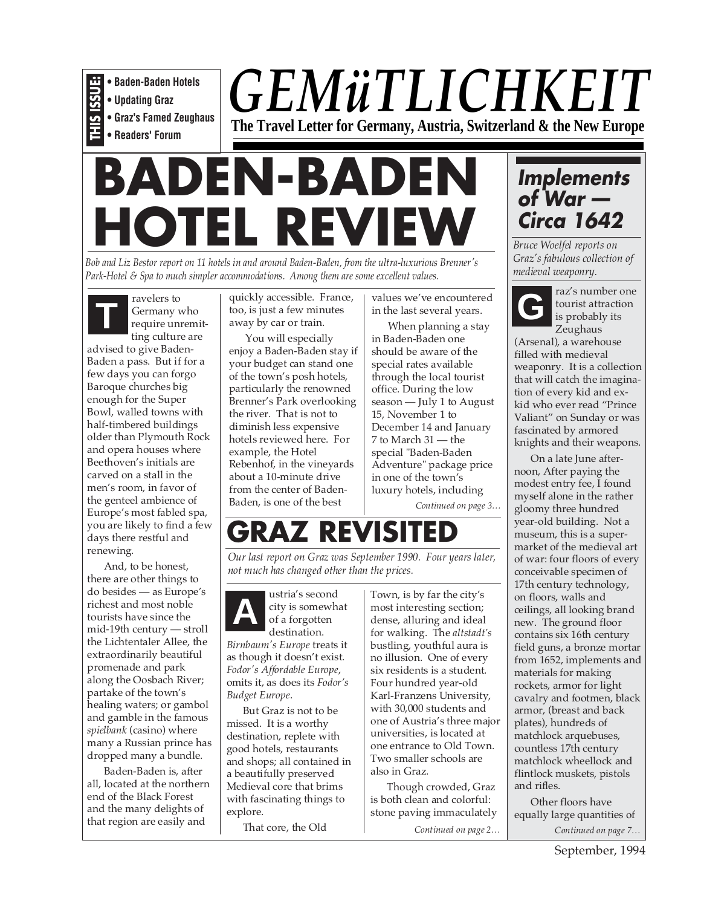- **Baden-Baden Hotels**
- **Updating Graz**
- **THIS ISSUE: • Graz's Famed Zeughaus**
	- **Readers' Forum**

*GEMüTLICHKEIT* **The Travel Letter for Germany, Austria, Switzerland & the New Europe**

# **BADEN-BADEN HOTEL REVIE**

*Bob and Liz Bestor report on 11 hotels in and around Baden-Baden, from the ultra-luxurious Brenner's Park-Hotel & Spa to much simpler accommodations. Among them are some excellent values.*



ravelers to Germany who require unremitting culture are

advised to give Baden-Baden a pass. But if for a few days you can forgo Baroque churches big enough for the Super Bowl, walled towns with half-timbered buildings older than Plymouth Rock and opera houses where Beethoven's initials are carved on a stall in the men's room, in favor of the genteel ambience of Europe's most fabled spa, you are likely to find a few days there restful and renewing.

And, to be honest, there are other things to do besides — as Europe's richest and most noble tourists have since the mid-19th century — stroll the Lichtentaler Allee, the extraordinarily beautiful promenade and park along the Oosbach River; partake of the town's healing waters; or gambol and gamble in the famous *spielbank* (casino) where many a Russian prince has dropped many a bundle.

Baden-Baden is, after all, located at the northern end of the Black Forest and the many delights of that region are easily and

quickly accessible. France, too, is just a few minutes away by car or train. **The Contract Contract Contract Contract Contract Contract Contract Contract Contract Contract Contract Contract Contract Contract Contract Contract Contract Contract Contract Contract Contract Contract Contract Contract C** 

You will especially enjoy a Baden-Baden stay if your budget can stand one of the town's posh hotels, particularly the renowned Brenner's Park overlooking the river. That is not to diminish less expensive hotels reviewed here. For example, the Hotel Rebenhof, in the vineyards about a 10-minute drive from the center of Baden-Baden, is one of the best

values we've encountered in the last several years.

When planning a stay in Baden-Baden one should be aware of the special rates available through the local tourist office. During the low season — July 1 to August 15, November 1 to December 14 and January 7 to March 31 — the special "Baden-Baden Adventure" package price in one of the town's luxury hotels, including *Continued on page 3…*

# **GRAZ REVISITE**I

*Our last report on Graz was September 1990. Four years later, not much has changed other than the prices.*

ustria's second city is somewhat of a forgotten destination. **A**

*Birnbaum's Europe* treats it as though it doesn't exist. *Fodor's Affordable Europe*, omits it, as does its *Fodor's Budget Europe*.

But Graz is not to be missed. It is a worthy destination, replete with good hotels, restaurants and shops; all contained in a beautifully preserved Medieval core that brims with fascinating things to explore.

That core, the Old

Town, is by far the city's most interesting section; dense, alluring and ideal for walking. The *altstadt's* bustling, youthful aura is no illusion. One of every six residents is a student. Four hundred year-old Karl-Franzens University, with 30,000 students and one of Austria's three major universities, is located at one entrance to Old Town. Two smaller schools are also in Graz.

Though crowded, Graz is both clean and colorful: stone paving immaculately

*Continued on page 2…*

# **Implements of War — Circa 1642**

*Bruce Woelfel reports on Graz's fabulous collection of medieval weaponry.*

> raz's number one tourist attraction is probably its Zeughaus

(Arsenal), a warehouse filled with medieval weaponry. It is a collection that will catch the imagination of every kid and exkid who ever read "Prince Valiant" on Sunday or was fascinated by armored knights and their weapons.

On a late June afternoon, After paying the modest entry fee, I found myself alone in the rather gloomy three hundred year-old building. Not a museum, this is a supermarket of the medieval art of war: four floors of every conceivable specimen of 17th century technology, on floors, walls and ceilings, all looking brand new. The ground floor contains six 16th century field guns, a bronze mortar from 1652, implements and materials for making rockets, armor for light cavalry and footmen, black armor, (breast and back plates), hundreds of matchlock arquebuses, countless 17th century matchlock wheellock and flintlock muskets, pistols and rifles.

*Continued on page 7…* Other floors have equally large quantities of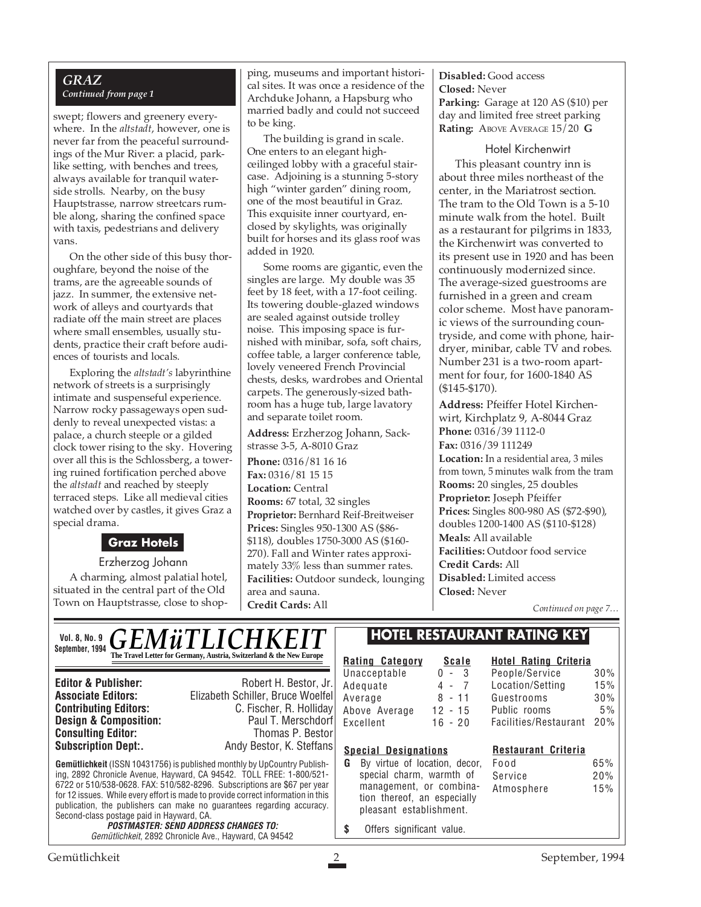#### *GRAZ Continued from page 1*

swept; flowers and greenery everywhere. In the *altstadt*, however, one is never far from the peaceful surroundings of the Mur River: a placid, parklike setting, with benches and trees, always available for tranquil waterside strolls. Nearby, on the busy Hauptstrasse, narrow streetcars rumble along, sharing the confined space with taxis, pedestrians and delivery vans.

On the other side of this busy thoroughfare, beyond the noise of the trams, are the agreeable sounds of jazz. In summer, the extensive network of alleys and courtyards that radiate off the main street are places where small ensembles, usually students, practice their craft before audiences of tourists and locals.

Exploring the *altstadt's* labyrinthine network of streets is a surprisingly intimate and suspenseful experience. Narrow rocky passageways open suddenly to reveal unexpected vistas: a palace, a church steeple or a gilded clock tower rising to the sky. Hovering over all this is the Schlossberg, a towering ruined fortification perched above the *altstadt* and reached by steeply terraced steps. Like all medieval cities watched over by castles, it gives Graz a special drama.

## **Graz Hotels**

#### Erzherzog Johann

A charming, almost palatial hotel, situated in the central part of the Old Town on Hauptstrasse, close to shopping, museums and important historical sites. It was once a residence of the Archduke Johann, a Hapsburg who married badly and could not succeed to be king.

The building is grand in scale. One enters to an elegant highceilinged lobby with a graceful staircase. Adjoining is a stunning 5-story high "winter garden" dining room, one of the most beautiful in Graz. This exquisite inner courtyard, enclosed by skylights, was originally built for horses and its glass roof was added in 1920.

Some rooms are gigantic, even the singles are large. My double was 35 feet by 18 feet, with a 17-foot ceiling. Its towering double-glazed windows are sealed against outside trolley noise. This imposing space is furnished with minibar, sofa, soft chairs, coffee table, a larger conference table, lovely veneered French Provincial chests, desks, wardrobes and Oriental carpets. The generously-sized bathroom has a huge tub, large lavatory and separate toilet room.

**Address:** Erzherzog Johann, Sackstrasse 3-5, A-8010 Graz

**Phone:** 0316/81 16 16 **Fax:** 0316/81 15 15 **Location:** Central **Rooms:** 67 total, 32 singles **Proprietor:** Bernhard Reif-Breitweiser **Prices:** Singles 950-1300 AS (\$86- \$118), doubles 1750-3000 AS (\$160- 270). Fall and Winter rates approximately 33% less than summer rates. **Facilities:** Outdoor sundeck, lounging area and sauna. **Credit Cards:** All

**Disabled:** Good access **Closed:** Never **Parking:** Garage at 120 AS (\$10) per day and limited free street parking **Rating:** ABOVE AVERAGE 15/20 **G**

#### Hotel Kirchenwirt

This pleasant country inn is about three miles northeast of the center, in the Mariatrost section. The tram to the Old Town is a 5-10 minute walk from the hotel. Built as a restaurant for pilgrims in 1833, the Kirchenwirt was converted to its present use in 1920 and has been continuously modernized since. The average-sized guestrooms are furnished in a green and cream color scheme. Most have panoramic views of the surrounding countryside, and come with phone, hairdryer, minibar, cable TV and robes. Number 231 is a two-room apartment for four, for 1600-1840 AS (\$145-\$170).

**Address:** Pfeiffer Hotel Kirchenwirt, Kirchplatz 9, A-8044 Graz **Phone:** 0316/39 1112-0 **Fax:** 0316/39 111249 **Location:** In a residential area, 3 miles from town, 5 minutes walk from the tram **Rooms:** 20 singles, 25 doubles **Proprietor:** Joseph Pfeiffer **Prices:** Singles 800-980 AS (\$72-\$90), doubles 1200-1400 AS (\$110-\$128) **Meals:** All available **Facilities:** Outdoor food service **Credit Cards:** All **Disabled:** Limited access **Closed:** Never

*Continued on page 7…*

| <b>GEMÜTLICHKEIT</b><br><b>Vol. 8, No. 9</b><br>September, 1994                                                                                                                                                                                                                     |                                                                                                      | <b>HOTEL RESTAURANT RATING KEY</b>                                                |              |                              |     |
|-------------------------------------------------------------------------------------------------------------------------------------------------------------------------------------------------------------------------------------------------------------------------------------|------------------------------------------------------------------------------------------------------|-----------------------------------------------------------------------------------|--------------|------------------------------|-----|
|                                                                                                                                                                                                                                                                                     | The Travel Letter for Germany, Austria, Switzerland & the New Europe                                 | <b>Rating Category</b>                                                            | <b>Scale</b> | <b>Hotel Rating Criteria</b> |     |
|                                                                                                                                                                                                                                                                                     |                                                                                                      | Unacceptable                                                                      | $0 - 3$      | People/Service               | 30% |
| <b>Editor &amp; Publisher:</b>                                                                                                                                                                                                                                                      | Robert H. Bestor, Jr.                                                                                | Adequate                                                                          | $4 -$        | Location/Setting             | 15% |
| <b>Associate Editors:</b>                                                                                                                                                                                                                                                           | Elizabeth Schiller, Bruce Woelfel                                                                    | Average                                                                           | $8 - 11$     | Guestrooms                   | 30% |
| <b>Contributing Editors:</b>                                                                                                                                                                                                                                                        | C. Fischer, R. Holliday                                                                              | Above Average                                                                     | $12 - 15$    | Public rooms                 | 5%  |
| <b>Design &amp; Composition:</b>                                                                                                                                                                                                                                                    | Paul T. Merschdorf                                                                                   | Excellent                                                                         | 16 - 20      | Facilities/Restaurant        | 20% |
| <b>Consulting Editor:</b>                                                                                                                                                                                                                                                           | Thomas P. Bestor                                                                                     |                                                                                   |              |                              |     |
| <b>Subscription Dept:.</b>                                                                                                                                                                                                                                                          | Andy Bestor, K. Steffans                                                                             | <b>Special Designations</b>                                                       |              | Restaurant Criteria          |     |
| <b>Gemütlichkeit</b> (ISSN 10431756) is published monthly by UpCountry Publish-                                                                                                                                                                                                     |                                                                                                      | By virtue of location, decor,<br>G.                                               |              | Food                         | 65% |
| ing, 2892 Chronicle Avenue, Hayward, CA 94542. TOLL FREE: 1-800/521-                                                                                                                                                                                                                |                                                                                                      | special charm, warmth of                                                          |              | Service                      | 20% |
| 6722 or 510/538-0628. FAX: 510/582-8296. Subscriptions are \$67 per year<br>for 12 issues. While every effort is made to provide correct information in this<br>publication, the publishers can make no quarantees regarding accuracy.<br>Second-class postage paid in Hayward, CA. |                                                                                                      | management, or combina-<br>tion thereof, an especially<br>pleasant establishment. |              | Atmosphere                   | 15% |
|                                                                                                                                                                                                                                                                                     | <i>POSTMASTER: SEND ADDRESS CHANGES TO:</i><br>Gemütlichkeit, 2892 Chronicle Ave., Hayward, CA 94542 | Offers significant value.<br>S                                                    |              |                              |     |
| Gemütlichkeit                                                                                                                                                                                                                                                                       |                                                                                                      |                                                                                   |              | September, 1994              |     |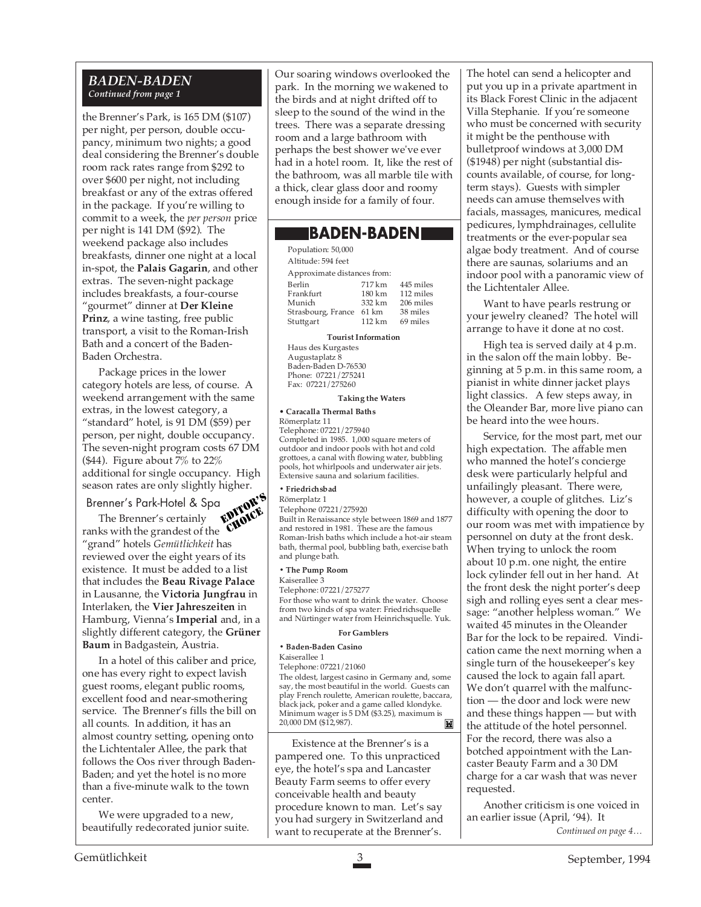#### *BADEN-BADEN Continued from page 1*

the Brenner's Park, is 165 DM (\$107) per night, per person, double occupancy, minimum two nights; a good deal considering the Brenner's double room rack rates range from \$292 to over \$600 per night, not including breakfast or any of the extras offered in the package. If you're willing to commit to a week, the *per person* price per night is 141 DM (\$92). The weekend package also includes breakfasts, dinner one night at a local in-spot, the **Palais Gagarin**, and other extras. The seven-night package includes breakfasts, a four-course "gourmet" dinner at **Der Kleine Prinz**, a wine tasting, free public transport, a visit to the Roman-Irish Bath and a concert of the Baden-Baden Orchestra.

Package prices in the lower category hotels are less, of course. A weekend arrangement with the same extras, in the lowest category, a "standard" hotel, is 91 DM (\$59) per person, per night, double occupancy. The seven-night program costs 67 DM (\$44). Figure about 7% to 22% additional for single occupancy. High season rates are only slightly higher.

Brenner's Park-Hotel & Spa

The Brenner's certainly ranks with the grandest of the "grand" hotels *Gemütlichkeit* has reviewed over the eight years of its existence. It must be added to a list that includes the **Beau Rivage Palace** in Lausanne, the **Victoria Jungfrau** in Interlaken, the **Vier Jahreszeiten** in Hamburg, Vienna's **Imperial** and, in a slightly different category, the **Grüner Baum** in Badgastein, Austria. EDITOR'S CHOICE

In a hotel of this caliber and price, one has every right to expect lavish guest rooms, elegant public rooms, excellent food and near-smothering service. The Brenner's fills the bill on all counts. In addition, it has an almost country setting, opening onto the Lichtentaler Allee, the park that follows the Oos river through Baden-Baden; and yet the hotel is no more than a five-minute walk to the town center.

We were upgraded to a new, beautifully redecorated junior suite. Our soaring windows overlooked the park. In the morning we wakened to the birds and at night drifted off to sleep to the sound of the wind in the trees. There was a separate dressing room and a large bathroom with perhaps the best shower we've ever had in a hotel room. It, like the rest of the bathroom, was all marble tile with a thick, clear glass door and roomy enough inside for a family of four.

## **BADEN-BADEN**

| Population: 50,000          |                   |           |  |  |  |
|-----------------------------|-------------------|-----------|--|--|--|
| Altitude: 594 feet          |                   |           |  |  |  |
| Approximate distances from: |                   |           |  |  |  |
| Berlin                      | 717 km            | 445 miles |  |  |  |
| Frankfurt                   | $180 \mathrm{km}$ | 112 miles |  |  |  |
| Munich                      | 332 km            | 206 miles |  |  |  |
| Strasbourg, France          | 61 km             | 38 miles  |  |  |  |
| Stuttgart                   | 112 km            | 69 miles  |  |  |  |
|                             |                   |           |  |  |  |

#### **Tourist Information**

| Haus des Kurgastes  |
|---------------------|
| Augustaplatz 8      |
| Baden-Baden D-76530 |
| Phone: 07221/275241 |
| Fax: 07221/275260   |

#### **Taking the Waters**

• **Caracalla Thermal Baths** Römerplatz 11 Telephone: 07221/275940 Completed in 1985. 1,000 square meters of outdoor and indoor pools with hot and cold grottoes, a canal with flowing water, bubbling pools, hot whirlpools and underwater air jets. Extensive sauna and solarium facilities.

#### **• Friedrichsbad**

Römerplatz 1

Telephone 07221/275920

Built in Renaissance style between 1869 and 1877 and restored in 1981. These are the famous Roman-Irish baths which include a hot-air steam bath, thermal pool, bubbling bath, exercise bath and plunge bath.

**• The Pump Room**

Kaiserallee 3

Telephone: 07221/275277

For those who want to drink the water. Choose from two kinds of spa water: Friedrichsquelle and Nürtinger water from Heinrichsquelle. Yuk.

#### **For Gamblers**

**• Baden-Baden Casino**

Kaiserallee 1

Telephone: 07221/21060 The oldest, largest casino in Germany and, some say, the most beautiful in the world. Guests can play French roulette, American roulette, baccara, black jack, poker and a game called klondyke. Minimum wager is 5 DM (\$3.25), maximum is 20,000 DM (\$12,987). Ħ

Existence at the Brenner's is a pampered one. To this unpracticed eye, the hotel's spa and Lancaster Beauty Farm seems to offer every conceivable health and beauty procedure known to man. Let's say you had surgery in Switzerland and want to recuperate at the Brenner's.

The hotel can send a helicopter and put you up in a private apartment in its Black Forest Clinic in the adjacent Villa Stephanie. If you're someone who must be concerned with security it might be the penthouse with bulletproof windows at 3,000 DM (\$1948) per night (substantial discounts available, of course, for longterm stays). Guests with simpler needs can amuse themselves with facials, massages, manicures, medical pedicures, lymphdrainages, cellulite treatments or the ever-popular sea algae body treatment. And of course there are saunas, solariums and an indoor pool with a panoramic view of the Lichtentaler Allee.

Want to have pearls restrung or your jewelry cleaned? The hotel will arrange to have it done at no cost.

High tea is served daily at 4 p.m. in the salon off the main lobby. Beginning at 5 p.m. in this same room, a pianist in white dinner jacket plays light classics. A few steps away, in the Oleander Bar, more live piano can be heard into the wee hours.

Service, for the most part, met our high expectation. The affable men who manned the hotel's concierge desk were particularly helpful and unfailingly pleasant. There were, however, a couple of glitches. Liz's difficulty with opening the door to our room was met with impatience by personnel on duty at the front desk. When trying to unlock the room about 10 p.m. one night, the entire lock cylinder fell out in her hand. At the front desk the night porter's deep sigh and rolling eyes sent a clear message: "another helpless woman." We waited 45 minutes in the Oleander Bar for the lock to be repaired. Vindication came the next morning when a single turn of the housekeeper's key caused the lock to again fall apart. We don't quarrel with the malfunction — the door and lock were new and these things happen — but with the attitude of the hotel personnel. For the record, there was also a botched appointment with the Lancaster Beauty Farm and a 30 DM charge for a car wash that was never requested.

Another criticism is one voiced in an earlier issue (April, '94). It *Continued on page 4…*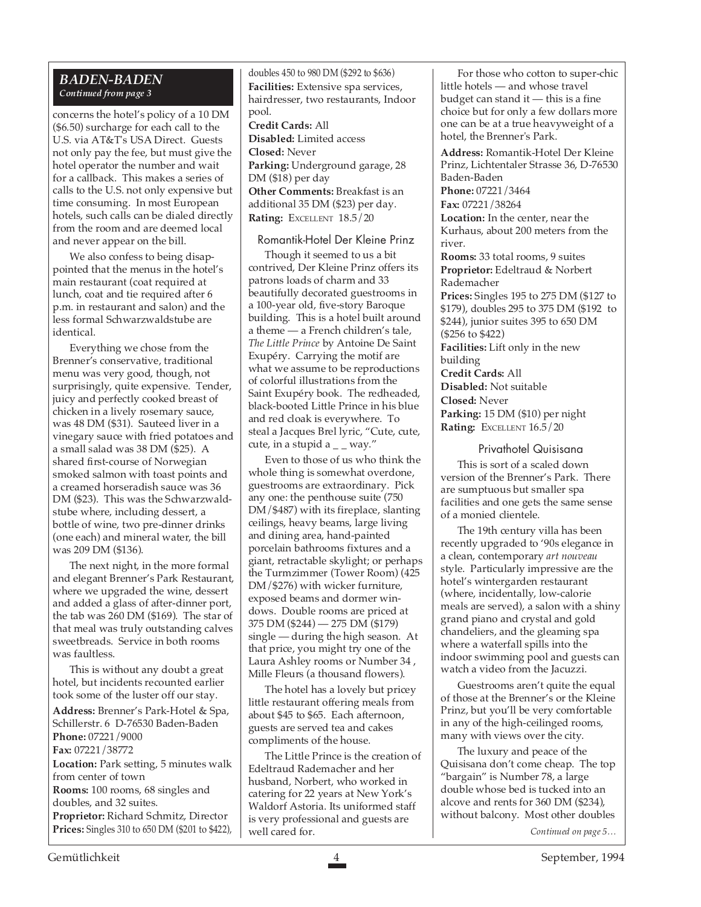#### *BADEN-BADEN Continued from page 3*

concerns the hotel's policy of a 10 DM (\$6.50) surcharge for each call to the U.S. via AT&T's USA Direct. Guests not only pay the fee, but must give the hotel operator the number and wait for a callback. This makes a series of calls to the U.S. not only expensive but time consuming. In most European hotels, such calls can be dialed directly from the room and are deemed local and never appear on the bill.

We also confess to being disappointed that the menus in the hotel's main restaurant (coat required at lunch, coat and tie required after 6 p.m. in restaurant and salon) and the less formal Schwarzwaldstube are identical.

Everything we chose from the Brenner's conservative, traditional menu was very good, though, not surprisingly, quite expensive. Tender, juicy and perfectly cooked breast of chicken in a lively rosemary sauce, was 48 DM (\$31). Sauteed liver in a vinegary sauce with fried potatoes and a small salad was 38 DM (\$25). A shared first-course of Norwegian smoked salmon with toast points and a creamed horseradish sauce was 36 DM (\$23). This was the Schwarzwaldstube where, including dessert, a bottle of wine, two pre-dinner drinks (one each) and mineral water, the bill was 209 DM (\$136).

The next night, in the more formal and elegant Brenner's Park Restaurant, where we upgraded the wine, dessert and added a glass of after-dinner port, the tab was 260 DM (\$169). The star of that meal was truly outstanding calves sweetbreads. Service in both rooms was faultless.

This is without any doubt a great hotel, but incidents recounted earlier took some of the luster off our stay.

**Address:** Brenner's Park-Hotel & Spa, Schillerstr. 6 D-76530 Baden-Baden **Phone:** 07221/9000 **Fax:** 07221/38772 **Location:** Park setting, 5 minutes walk from center of town **Rooms:** 100 rooms, 68 singles and doubles, and 32 suites. **Proprietor:** Richard Schmitz, Director **Prices:** Singles 310 to 650 DM (\$201 to \$422), doubles 450 to 980 DM (\$292 to \$636) **Facilities:** Extensive spa services, hairdresser, two restaurants, Indoor pool. **Credit Cards:** All **Disabled:** Limited access **Closed:** Never **Parking:** Underground garage, 28 DM (\$18) per day **Other Comments:** Breakfast is an additional 35 DM (\$23) per day. **Rating: EXCELLENT 18.5/20** 

#### Romantik-Hotel Der Kleine Prinz

Though it seemed to us a bit contrived, Der Kleine Prinz offers its patrons loads of charm and 33 beautifully decorated guestrooms in a 100-year old, five-story Baroque building. This is a hotel built around a theme — a French children's tale, *The Little Prince* by Antoine De Saint Exupéry. Carrying the motif are what we assume to be reproductions of colorful illustrations from the Saint Exupéry book. The redheaded, black-booted Little Prince in his blue and red cloak is everywhere. To steal a Jacques Brel lyric, "Cute, cute, cute, in a stupid  $a_$   $_$  way."

Even to those of us who think the whole thing is somewhat overdone, guestrooms are extraordinary. Pick any one: the penthouse suite (750 DM/\$487) with its fireplace, slanting ceilings, heavy beams, large living and dining area, hand-painted porcelain bathrooms fixtures and a giant, retractable skylight; or perhaps the Turmzimmer (Tower Room) (425 DM/\$276) with wicker furniture, exposed beams and dormer windows. Double rooms are priced at 375 DM (\$244) — 275 DM (\$179) single — during the high season. At that price, you might try one of the Laura Ashley rooms or Number 34 , Mille Fleurs (a thousand flowers).

The hotel has a lovely but pricey little restaurant offering meals from about \$45 to \$65. Each afternoon, guests are served tea and cakes compliments of the house.

The Little Prince is the creation of Edeltraud Rademacher and her husband, Norbert, who worked in catering for 22 years at New York's Waldorf Astoria. Its uniformed staff is very professional and guests are well cared for.

For those who cotton to super-chic little hotels — and whose travel budget can stand it — this is a fine choice but for only a few dollars more one can be at a true heavyweight of a hotel, the Brenner's Park.

**Address:** Romantik-Hotel Der Kleine Prinz, Lichtentaler Strasse 36, D-76530 Baden-Baden **Phone:** 07221/3464 **Fax:** 07221/38264 **Location:** In the center, near the

Kurhaus, about 200 meters from the river.

**Rooms:** 33 total rooms, 9 suites **Proprietor:** Edeltraud & Norbert Rademacher

**Prices:** Singles 195 to 275 DM (\$127 to \$179), doubles 295 to 375 DM (\$192 to \$244), junior suites 395 to 650 DM (\$256 to \$422) **Facilities:** Lift only in the new building **Credit Cards:** All **Disabled:** Not suitable **Closed:** Never

**Parking:** 15 DM (\$10) per night **Rating:** EXCELLENT 16.5/20

#### Privathotel Quisisana

This is sort of a scaled down version of the Brenner's Park. There are sumptuous but smaller spa facilities and one gets the same sense of a monied clientele.

The 19th century villa has been recently upgraded to '90s elegance in a clean, contemporary *art nouveau* style. Particularly impressive are the hotel's wintergarden restaurant (where, incidentally, low-calorie meals are served), a salon with a shiny grand piano and crystal and gold chandeliers, and the gleaming spa where a waterfall spills into the indoor swimming pool and guests can watch a video from the Jacuzzi.

Guestrooms aren't quite the equal of those at the Brenner's or the Kleine Prinz, but you'll be very comfortable in any of the high-ceilinged rooms, many with views over the city.

The luxury and peace of the Quisisana don't come cheap. The top "bargain" is Number 78, a large double whose bed is tucked into an alcove and rents for 360 DM (\$234), without balcony. Most other doubles

*Continued on page 5…*

Gemütlichkeit 4 September, 1994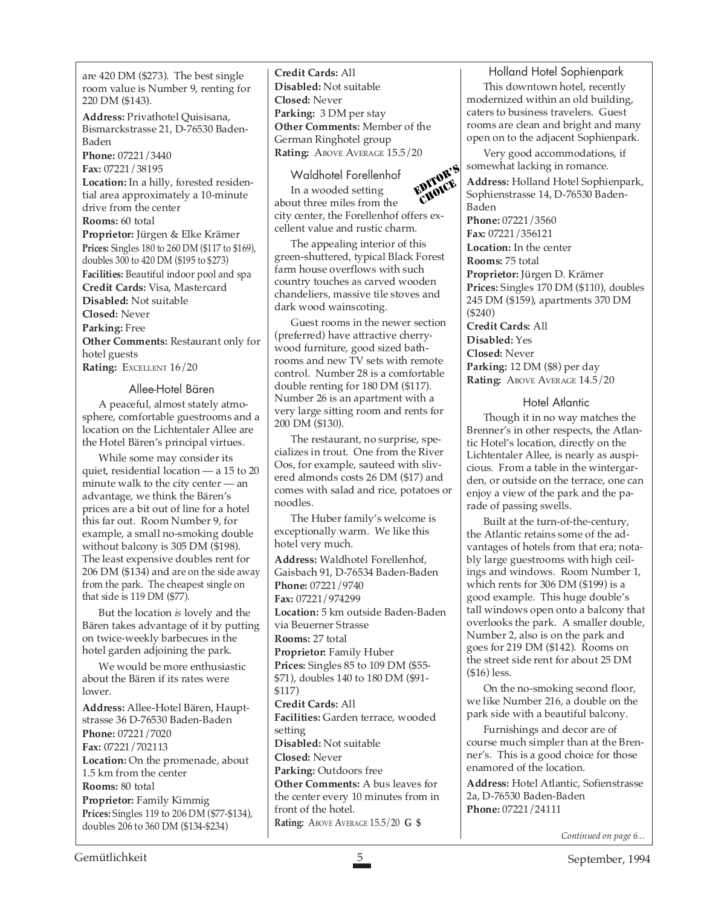are 420 DM (\$273). The best single room value is Number 9, renting for 220 DM (\$143).

**Address:** Privathotel Quisisana, Bismarckstrasse 21, D-76530 Baden-Baden

**Phone:** 07221/3440 **Fax:** 07221/38195

**Location:** In a hilly, forested residential area approximately a 10-minute drive from the center **Rooms:** 60 total **Proprietor:** Jürgen & Elke Krämer **Prices:** Singles 180 to 260 DM (\$117 to \$169), doubles 300 to 420 DM (\$195 to \$273) **Facilities:** Beautiful indoor pool and spa **Credit Cards:** Visa, Mastercard **Disabled:** Not suitable **Closed:** Never **Parking:** Free

**Other Comments:** Restaurant only for hotel guests

**Rating:** EXCELLENT 16/20

#### Allee-Hotel Bären

A peaceful, almost stately atmosphere, comfortable guestrooms and a location on the Lichtentaler Allee are the Hotel Bären's principal virtues.

While some may consider its quiet, residential location — a 15 to 20 minute walk to the city center — an advantage, we think the Bären's prices are a bit out of line for a hotel this far out. Room Number 9, for example, a small no-smoking double without balcony is 305 DM (\$198). The least expensive doubles rent for 206 DM (\$134) and are on the side away from the park. The cheapest single on that side is 119 DM (\$77).

But the location *is* lovely and the Bären takes advantage of it by putting on twice-weekly barbecues in the hotel garden adjoining the park.

We would be more enthusiastic about the Bären if its rates were lower.

**Address:** Allee-Hotel Bären, Hauptstrasse 36 D-76530 Baden-Baden **Phone:** 07221/7020 **Fax:** 07221/702113 Location: On the promenade, about 1.5 km from the center **Rooms:** 80 total **Proprietor:** Family Kimmig **Prices:** Singles 119 to 206 DM (\$77-\$134), doubles 206 to 360 DM (\$134-\$234)

**Credit Cards:** All **Disabled:** Not suitable **Closed:** Never **Parking:** 3 DM per stay **Other Comments:** Member of the German Ringhotel group Rating: ABOVE AVERAGE 15.5/20

Waldhotel Forellenhof

In a wooded setting about three miles from the city center, the Forellenhof offers excellent value and rustic charm. EDITOR'S **CHOICE** 

The appealing interior of this green-shuttered, typical Black Forest farm house overflows with such country touches as carved wooden chandeliers, massive tile stoves and dark wood wainscoting.

Guest rooms in the newer section (preferred) have attractive cherrywood furniture, good sized bathrooms and new TV sets with remote control. Number 28 is a comfortable double renting for 180 DM (\$117). Number 26 is an apartment with a very large sitting room and rents for 200 DM (\$130).

The restaurant, no surprise, specializes in trout. One from the River Oos, for example, sauteed with slivered almonds costs 26 DM (\$17) and comes with salad and rice, potatoes or noodles.

The Huber family's welcome is exceptionally warm. We like this hotel very much.

**Address:** Waldhotel Forellenhof, Gaisbach 91, D-76534 Baden-Baden **Phone:** 07221/9740 **Fax:** 07221/974299 **Location:** 5 km outside Baden-Baden via Beuerner Strasse **Rooms:** 27 total **Proprietor:** Family Huber **Prices:** Singles 85 to 109 DM (\$55- \$71), doubles 140 to 180 DM (\$91- \$117) **Credit Cards:** All **Facilities:** Garden terrace, wooded setting **Disabled:** Not suitable **Closed:** Never **Parking:** Outdoors free **Other Comments:** A bus leaves for the center every 10 minutes from in front of the hotel. **Rating:** ABOVE AVERAGE 15.5/20 **G \$**

Holland Hotel Sophienpark

This downtown hotel, recently modernized within an old building, caters to business travelers. Guest rooms are clean and bright and many open on to the adjacent Sophienpark.

Very good accommodations, if somewhat lacking in romance.

**Address:** Holland Hotel Sophienpark, Sophienstrasse 14, D-76530 Baden-Baden **Phone:** 07221/3560 **Fax:** 07221/356121 **Location:** In the center **Rooms:** 75 total **Proprietor:** Jürgen D. Krämer **Prices:** Singles 170 DM (\$110), doubles 245 DM (\$159), apartments 370 DM (\$240) **Credit Cards:** All **Disabled:** Yes **Closed:** Never

**Parking:** 12 DM (\$8) per day **Rating: ABOVE AVERAGE 14.5/20** 

#### Hotel Atlantic

Though it in no way matches the Brenner's in other respects, the Atlantic Hotel's location, directly on the Lichtentaler Allee, is nearly as auspicious. From a table in the wintergarden, or outside on the terrace, one can enjoy a view of the park and the parade of passing swells.

Built at the turn-of-the-century, the Atlantic retains some of the advantages of hotels from that era; notably large guestrooms with high ceilings and windows. Room Number 1, which rents for 306 DM (\$199) is a good example. This huge double's tall windows open onto a balcony that overlooks the park. A smaller double, Number 2, also is on the park and goes for 219 DM (\$142). Rooms on the street side rent for about 25 DM (\$16) less.

On the no-smoking second floor, we like Number 216, a double on the park side with a beautiful balcony.

Furnishings and decor are of course much simpler than at the Brenner's. This is a good choice for those enamored of the location.

**Address:** Hotel Atlantic, Sofienstrasse 2a, D-76530 Baden-Baden **Phone:** 07221/24111

*Continued on page 6...*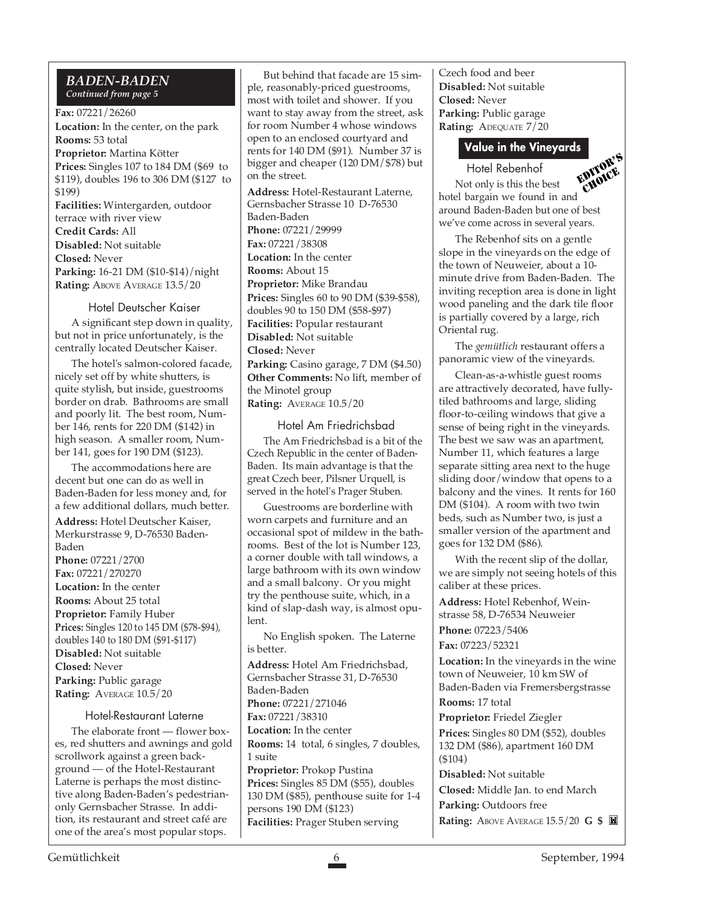#### *BADEN-BADEN Continued from page 5*

**Fax:** 07221/26260 **Location:** In the center, on the park **Rooms:** 53 total **Proprietor:** Martina Kötter **Prices:** Singles 107 to 184 DM (\$69 to \$119), doubles 196 to 306 DM (\$127 to \$199) **Facilities:** Wintergarden, outdoor terrace with river view **Credit Cards:** All **Disabled:** Not suitable **Closed:** Never **Parking:** 16-21 DM (\$10-\$14)/night **Rating: ABOVE AVERAGE 13.5/20** 

#### Hotel Deutscher Kaiser

A significant step down in quality, but not in price unfortunately, is the centrally located Deutscher Kaiser.

The hotel's salmon-colored facade, nicely set off by white shutters, is quite stylish, but inside, guestrooms border on drab. Bathrooms are small and poorly lit. The best room, Number 146, rents for 220 DM (\$142) in high season. A smaller room, Number 141, goes for 190 DM (\$123).

The accommodations here are decent but one can do as well in Baden-Baden for less money and, for a few additional dollars, much better.

**Address:** Hotel Deutscher Kaiser, Merkurstrasse 9, D-76530 Baden-Baden

**Phone:** 07221/2700

**Fax:** 07221/270270 **Location:** In the center **Rooms:** About 25 total **Proprietor:** Family Huber **Prices:** Singles 120 to 145 DM (\$78-\$94), doubles 140 to 180 DM (\$91-\$117) **Disabled:** Not suitable **Closed:** Never **Parking:** Public garage **Rating:** AVERAGE 10.5/20

#### Hotel-Restaurant Laterne

The elaborate front — flower boxes, red shutters and awnings and gold scrollwork against a green background — of the Hotel-Restaurant Laterne is perhaps the most distinctive along Baden-Baden's pedestrianonly Gernsbacher Strasse. In addition, its restaurant and street café are one of the area's most popular stops.

But behind that facade are 15 simple, reasonably-priced guestrooms, most with toilet and shower. If you want to stay away from the street, ask for room Number 4 whose windows open to an enclosed courtyard and rents for 140 DM (\$91). Number 37 is bigger and cheaper (120 DM/\$78) but on the street.

**Address:** Hotel-Restaurant Laterne, Gernsbacher Strasse 10 D-76530 Baden-Baden **Phone:** 07221/29999 **Fax:** 07221/38308 **Location:** In the center **Rooms:** About 15 **Proprietor:** Mike Brandau **Prices:** Singles 60 to 90 DM (\$39-\$58), doubles 90 to 150 DM (\$58-\$97) **Facilities:** Popular restaurant **Disabled:** Not suitable **Closed:** Never Parking: Casino garage, 7 DM (\$4.50) **Other Comments:** No lift, member of the Minotel group **Rating:** AVERAGE 10.5/20

Hotel Am Friedrichsbad The Am Friedrichsbad is a bit of the Czech Republic in the center of Baden-Baden. Its main advantage is that the great Czech beer, Pilsner Urquell, is served in the hotel's Prager Stuben.

Guestrooms are borderline with worn carpets and furniture and an occasional spot of mildew in the bathrooms. Best of the lot is Number 123, a corner double with tall windows, a large bathroom with its own window and a small balcony. Or you might try the penthouse suite, which, in a kind of slap-dash way, is almost opulent.

No English spoken. The Laterne is better.

**Address:** Hotel Am Friedrichsbad, Gernsbacher Strasse 31, D-76530 Baden-Baden **Phone:** 07221/271046 **Fax:** 07221/38310 **Location:** In the center **Rooms:** 14 total, 6 singles, 7 doubles, 1 suite **Proprietor:** Prokop Pustina **Prices:** Singles 85 DM (\$55), doubles 130 DM (\$85), penthouse suite for 1-4

persons 190 DM (\$123)

**Facilities:** Prager Stuben serving

Czech food and beer **Disabled:** Not suitable **Closed:** Never **Parking:** Public garage **Rating:** ADEQUATE 7/20

#### **Value in the Vineyards**

Hotel Rebenhof



Not only is this the best hotel bargain we found in and around Baden-Baden but one of best we've come across in several years.

The Rebenhof sits on a gentle slope in the vineyards on the edge of the town of Neuweier, about a 10 minute drive from Baden-Baden. The inviting reception area is done in light wood paneling and the dark tile floor is partially covered by a large, rich Oriental rug.

The *gemütlich* restaurant offers a panoramic view of the vineyards.

Clean-as-a-whistle guest rooms are attractively decorated, have fullytiled bathrooms and large, sliding floor-to-ceiling windows that give a sense of being right in the vineyards. The best we saw was an apartment, Number 11, which features a large separate sitting area next to the huge sliding door/window that opens to a balcony and the vines. It rents for 160 DM (\$104). A room with two twin beds, such as Number two, is just a smaller version of the apartment and goes for 132 DM (\$86).

With the recent slip of the dollar, we are simply not seeing hotels of this caliber at these prices.

**Address:** Hotel Rebenhof, Weinstrasse 58, D-76534 Neuweier

**Phone:** 07223/5406

**Fax:** 07223/52321

**Location:** In the vineyards in the wine town of Neuweier, 10 km SW of Baden-Baden via Fremersbergstrasse **Rooms:** 17 total

**Proprietor:** Friedel Ziegler

**Prices:** Singles 80 DM (\$52), doubles 132 DM (\$86), apartment 160 DM (\$104)

**Disabled:** Not suitable

**Closed:** Middle Jan. to end March

**Parking:** Outdoors free

**Rating:** ABOVE AVERAGE 15.5/20 **G \$**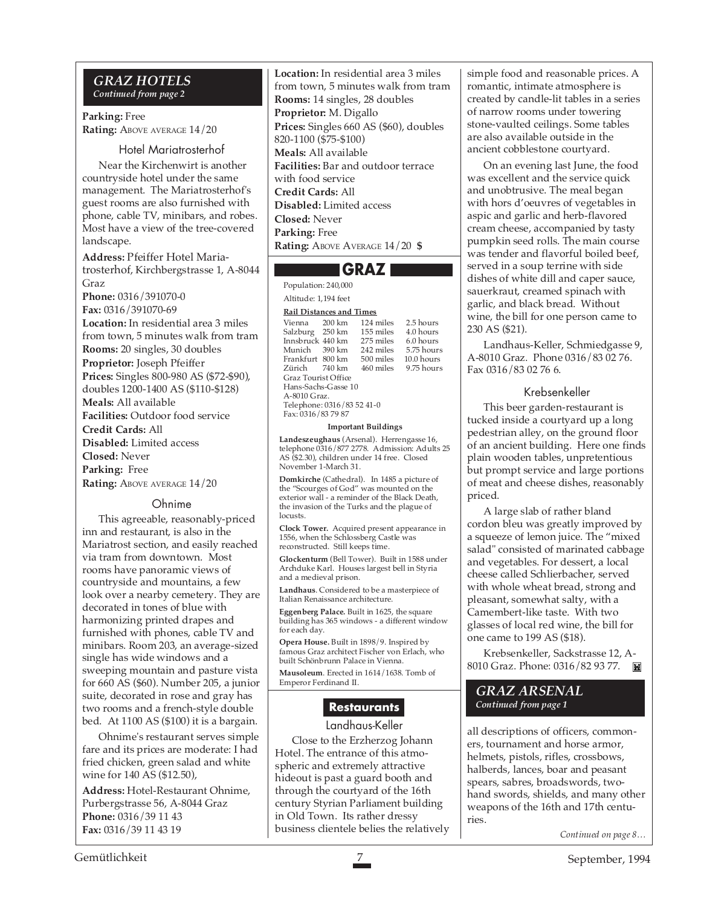#### *GRAZ HOTELS Continued from page 2*

**Parking:** Free **Rating:** ABOVE AVERAGE  $14/20$ 

#### Hotel Mariatrosterhof

Near the Kirchenwirt is another countryside hotel under the same management. The Mariatrosterhof's guest rooms are also furnished with phone, cable TV, minibars, and robes. Most have a view of the tree-covered landscape.

**Address:** Pfeiffer Hotel Mariatrosterhof, Kirchbergstrasse 1, A-8044 Graz **Phone:** 0316/391070-0 **Fax:** 0316/391070-69 **Location:** In residential area 3 miles

from town, 5 minutes walk from tram **Rooms:** 20 singles, 30 doubles **Proprietor:** Joseph Pfeiffer **Prices:** Singles 800-980 AS (\$72-\$90), doubles 1200-1400 AS (\$110-\$128) **Meals:** All available **Facilities:** Outdoor food service **Credit Cards:** All **Disabled:** Limited access

**Closed:** Never

**Parking:** Free

**Rating:** ABOVE AVERAGE 14/20

#### Ohnime

This agreeable, reasonably-priced inn and restaurant, is also in the Mariatrost section, and easily reached via tram from downtown. Most rooms have panoramic views of countryside and mountains, a few look over a nearby cemetery. They are decorated in tones of blue with harmonizing printed drapes and furnished with phones, cable TV and minibars. Room 203, an average-sized single has wide windows and a sweeping mountain and pasture vista for 660 AS (\$60). Number 205, a junior suite, decorated in rose and gray has two rooms and a french-style double bed. At 1100 AS (\$100) it is a bargain.

Ohnime's restaurant serves simple fare and its prices are moderate: I had fried chicken, green salad and white wine for 140 AS (\$12.50),

**Address:** Hotel-Restaurant Ohnime, Purbergstrasse 56, A-8044 Graz **Phone:** 0316/39 11 43 **Fax:** 0316/39 11 43 19

**Location:** In residential area 3 miles from town, 5 minutes walk from tram **Rooms:** 14 singles, 28 doubles **Proprietor:** M. Digallo **Prices:** Singles 660 AS (\$60), doubles 820-1100 (\$75-\$100) **Meals:** All available **Facilities:** Bar and outdoor terrace with food service **Credit Cards:** All **Disabled:** Limited access **Closed:** Never **Parking:** Free **Rating:** ABOVE AVERAGE 14/20 **\$**

# **GRAZ**

Population: 240,000 Altitude: 1,194 feet

#### **Rail Distances and Times**

| Kall Distances and Thnes   |  |           |            |  |  |  |
|----------------------------|--|-----------|------------|--|--|--|
| Vienna 200 km              |  | 124 miles | 2.5 hours  |  |  |  |
| Salzburg 250 km            |  | 155 miles | 4.0 hours  |  |  |  |
| Innsbruck 440 km           |  | 275 miles | 6.0 hours  |  |  |  |
| Munich 390 km              |  | 242 miles | 5.75 hours |  |  |  |
| Frankfurt 800 km           |  | 500 miles | 10.0 hours |  |  |  |
| Zürich 740 km              |  | 460 miles | 9.75 hours |  |  |  |
| Graz Tourist Office        |  |           |            |  |  |  |
| Hans-Sachs-Gasse 10        |  |           |            |  |  |  |
| A-8010 Graz.               |  |           |            |  |  |  |
| Telephone: 0316/83 52 41-0 |  |           |            |  |  |  |
|                            |  |           |            |  |  |  |

Telephone: 0316/83 52 41-0 Fax: 0316/83 79 87

#### **Important Buildings**

**Landeszeughaus** (Arsenal). Herrengasse 16, telephone 0316/877 2778. Admission: Adults 25 AS (\$2.30), children under 14 free. Closed November 1-March 31.

**Domkirche** (Cathedral). In 1485 a picture of the "Scourges of God" was mounted on the exterior wall - a reminder of the Black Death, the invasion of the Turks and the plague of locusts.

**Clock Tower.** Acquired present appearance in 1556, when the Schlossberg Castle was reconstructed. Still keeps time.

**Glockenturm** (Bell Tower). Built in 1588 under Archduke Karl. Houses largest bell in Styria and a medieval prison.

**Landhaus**. Considered to be a masterpiece of Italian Renaissance architecture.

**Eggenberg Palace.** Built in 1625, the square building has 365 windows - a different window for each day.

**Opera House.** Built in 1898/9. Inspired by famous Graz architect Fischer von Erlach, who built Schönbrunn Palace in Vienna.

**Mausoleum**. Erected in 1614/1638. Tomb of Emperor Ferdinand II.

## **Restaurants**

#### Landhaus-Keller

Close to the Erzherzog Johann Hotel. The entrance of this atmospheric and extremely attractive hideout is past a guard booth and through the courtyard of the 16th century Styrian Parliament building in Old Town. Its rather dressy business clientele belies the relatively simple food and reasonable prices. A romantic, intimate atmosphere is created by candle-lit tables in a series of narrow rooms under towering stone-vaulted ceilings. Some tables are also available outside in the ancient cobblestone courtyard.

On an evening last June, the food was excellent and the service quick and unobtrusive. The meal began with hors d'oeuvres of vegetables in aspic and garlic and herb-flavored cream cheese, accompanied by tasty pumpkin seed rolls. The main course was tender and flavorful boiled beef, served in a soup terrine with side dishes of white dill and caper sauce, sauerkraut, creamed spinach with garlic, and black bread. Without wine, the bill for one person came to 230 AS (\$21).

Landhaus-Keller, Schmiedgasse 9, A-8010 Graz. Phone 0316/83 02 76. Fax 0316/83 02 76 6.

#### Krebsenkeller

This beer garden-restaurant is tucked inside a courtyard up a long pedestrian alley, on the ground floor of an ancient building. Here one finds plain wooden tables, unpretentious but prompt service and large portions of meat and cheese dishes, reasonably priced.

A large slab of rather bland cordon bleu was greatly improved by a squeeze of lemon juice. The "mixed salad" consisted of marinated cabbage and vegetables. For dessert, a local cheese called Schlierbacher, served with whole wheat bread, strong and pleasant, somewhat salty, with a Camembert-like taste. With two glasses of local red wine, the bill for one came to 199 AS (\$18).

Krebsenkeller, Sackstrasse 12, A-8010 Graz. Phone: 0316/82 93 77.

#### *GRAZ ARSENAL Continued from page 1*

all descriptions of officers, commoners, tournament and horse armor, helmets, pistols, rifles, crossbows, halberds, lances, boar and peasant spears, sabres, broadswords, twohand swords, shields, and many other weapons of the 16th and 17th centuries.

*Continued on page 8…*